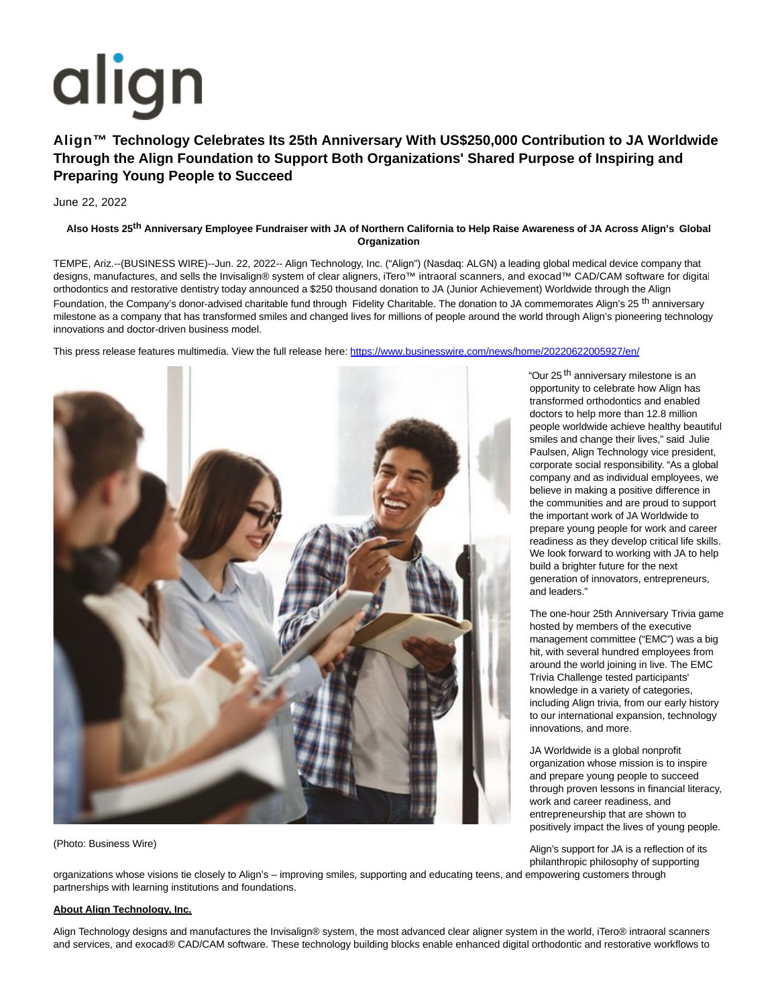# align

# **Align™ Technology Celebrates Its 25th Anniversary With US\$250,000 Contribution to JA Worldwide Through the Align Foundation to Support Both Organizations' Shared Purpose of Inspiring and Preparing Young People to Succeed**

June 22, 2022

# **Also Hosts 25th Anniversary Employee Fundraiser with JA of Northern California to Help Raise Awareness of JA Across Align's Global Organization**

TEMPE, Ariz.--(BUSINESS WIRE)--Jun. 22, 2022-- Align Technology, Inc. ("Align") (Nasdaq: ALGN) a leading global medical device company that designs, manufactures, and sells the Invisalign® system of clear aligners, iTero™ intraoral scanners, and exocad™ CAD/CAM software for digital orthodontics and restorative dentistry today announced a \$250 thousand donation to JA (Junior Achievement) Worldwide through the Align Foundation, the Company's donor-advised charitable fund through Fidelity Charitable. The donation to JA commemorates Align's 25<sup>th</sup> anniversary milestone as a company that has transformed smiles and changed lives for millions of people around the world through Align's pioneering technology innovations and doctor-driven business model.

This press release features multimedia. View the full release here:<https://www.businesswire.com/news/home/20220622005927/en/>



(Photo: Business Wire)

"Our 25<sup>th</sup> anniversary milestone is an opportunity to celebrate how Align has transformed orthodontics and enabled doctors to help more than 12.8 million people worldwide achieve healthy beautiful smiles and change their lives," said Julie Paulsen, Align Technology vice president, corporate social responsibility. "As a global company and as individual employees, we believe in making a positive difference in the communities and are proud to support the important work of JA Worldwide to prepare young people for work and career readiness as they develop critical life skills. We look forward to working with JA to help build a brighter future for the next generation of innovators, entrepreneurs, and leaders."

The one-hour 25th Anniversary Trivia game hosted by members of the executive management committee ("EMC") was a big hit, with several hundred employees from around the world joining in live. The EMC Trivia Challenge tested participants' knowledge in a variety of categories, including Align trivia, from our early history to our international expansion, technology innovations, and more.

JA Worldwide is a global nonprofit organization whose mission is to inspire and prepare young people to succeed through proven lessons in financial literacy, work and career readiness, and entrepreneurship that are shown to positively impact the lives of young people.

Align's support for JA is a reflection of its philanthropic philosophy of supporting

organizations whose visions tie closely to Align's – improving smiles, supporting and educating teens, and empowering customers through partnerships with learning institutions and foundations.

#### **About Align Technology, Inc.**

Align Technology designs and manufactures the Invisalign® system, the most advanced clear aligner system in the world, iTero® intraoral scanners and services, and exocad® CAD/CAM software. These technology building blocks enable enhanced digital orthodontic and restorative workflows to